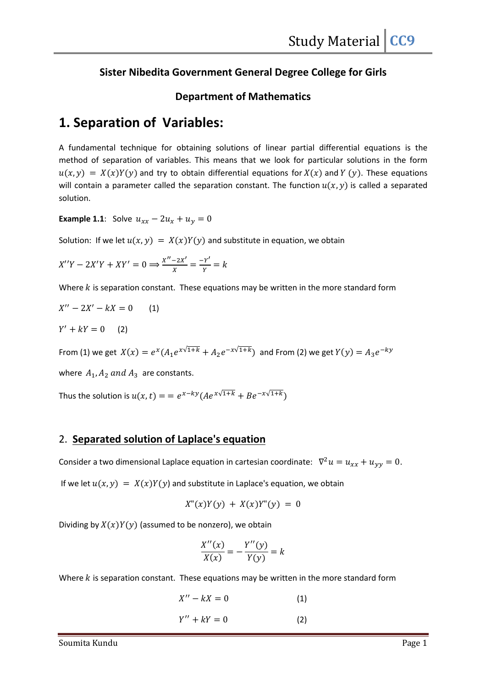## Sister Nibedita Government General Degree College for Girls

### Department of Mathematics

# 1. Separation of Variables:

A fundamental technique for obtaining solutions of linear partial differential equations is the method of separation of variables. This means that we look for particular solutions in the form  $u(x, y) = X(x)Y(y)$  and try to obtain differential equations for  $X(x)$  and  $Y(y)$ . These equations will contain a parameter called the separation constant. The function  $u(x, y)$  is called a separated solution.

**Example 1.1**: Solve  $u_{xx} - 2u_x + u_y = 0$ 

Solution: If we let  $u(x, y) = X(x)Y(y)$  and substitute in equation, we obtain

$$
X''Y - 2X'Y + XY' = 0 \Longrightarrow \frac{X'' - 2X'}{X} = \frac{-Y'}{Y} = k
$$

Where  $k$  is separation constant. These equations may be written in the more standard form

$$
X'' - 2X' - kX = 0
$$
 (1)  
\n
$$
Y' + kY = 0
$$
 (2)  
\nFrom (1) we get  $X(x) = e^x(A_1e^{x\sqrt{1+k}} + A_2e^{-x\sqrt{1+k}})$  and From (2) we get  $Y(y) = A_3e^{-ky}$   
\nwhere  $A_1, A_2$  and  $A_3$  are constants.

Thus the solution is  $u(x, t) = e^{x - ky} (Ae^{x\sqrt{1+k}} + Be^{-x\sqrt{1+k}})$ 

## 2. Separated solution of Laplace's equation

Consider a two dimensional Laplace equation in cartesian coordinate:  $\nabla^2 u = u_{xx} + u_{yy} = 0$ .

If we let  $u(x, y) = X(x)Y(y)$  and substitute in Laplace's equation, we obtain

$$
X''(x)Y(y) + X(x)Y''(y) = 0
$$

Dividing by  $X(x)Y(y)$  (assumed to be nonzero), we obtain

$$
\frac{X''(x)}{X(x)} = -\frac{Y''(y)}{Y(y)} = k
$$

Where  $k$  is separation constant. These equations may be written in the more standard form

 $X'' - kX = 0$  (1)  $Y'' + kY = 0$  (2)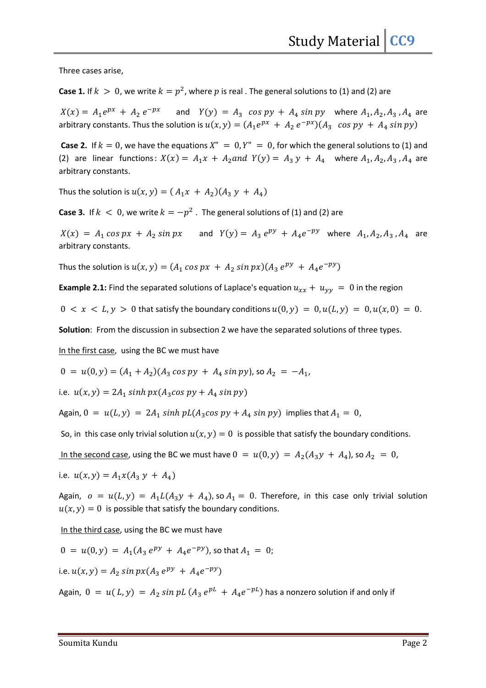Three cases arise,

**Case 1.** If  $k > 0$ , we write  $k = p^2$ , where  $p$  is real . The general solutions to (1) and (2) are

 $X(x) = A_1 e^{px} + A_2 e^{-px}$  and  $Y(y) = A_3 \cos py + A_4 \sin py$  where  $A_1, A_2, A_3, A_4$  are arbitrary constants. Thus the solution is  $u(x, y) = (A_1 e^{px} + A_2 e^{-px}) (A_3 \cos py + A_4 \sin py)$ 

**Case 2.** If  $k = 0$ , we have the equations  $X'' = 0$ ,  $Y'' = 0$ , for which the general solutions to (1) and (2) are linear functions:  $X(x) = A_1 x + A_2$  and  $Y(y) = A_3 y + A_4$  where  $A_1, A_2, A_3, A_4$  are arbitrary constants.

Thus the solution is  $u(x, y) = ( A_1 x + A_2 ) ( A_3 y + A_4 )$ 

**Case 3.** If  $k < 0$ , we write  $k = -p^2$  . The general solutions of (1) and (2) are

 $X(x) = A_1 \cos px + A_2 \sin px$  and  $Y(y) = A_3 e^{py} + A_4 e^{-py}$  where  $A_1, A_2, A_3, A_4$  are arbitrary constants.

Thus the solution is  $u(x, y) = (A_1 \cos px + A_2 \sin px)(A_3 e^{py} + A_4 e^{-py})$ 

**Example 2.1:** Find the separated solutions of Laplace's equation  $u_{xx} + u_{yy} = 0$  in the region

 $0 < x < L$ ,  $y > 0$  that satisfy the boundary conditions  $u(0, y) = 0$ ,  $u(L, y) = 0$ ,  $u(x, 0) = 0$ .

Solution: From the discussion in subsection 2 we have the separated solutions of three types.

In the first case, using the BC we must have

 $0 = u(0, y) = (A_1 + A_2)(A_3 \cos py + A_4 \sin py)$ , so  $A_2 = -A_1$ ,

i.e.  $u(x, y) = 2A_1 \sinh px (A_3 \cos py + A_4 \sin py)$ 

Again,  $0 = u(L, y) = 2A_1 \sinh pL(A_3 \cos py + A_4 \sin py)$  implies that  $A_1 = 0$ ,

So, in this case only trivial solution  $u(x, y) = 0$  is possible that satisfy the boundary conditions.

In the second case, using the BC we must have  $0 = u(0, y) = A_2(A_3y + A_4)$ , so  $A_2 = 0$ ,

i.e.  $u(x, y) = A_1 x (A_3 y + A_4)$ 

Again,  $o = u(L, y) = A_1 L(A_3 y + A_4)$ , so  $A_1 = 0$ . Therefore, in this case only trivial solution  $u(x, y) = 0$  is possible that satisfy the boundary conditions.

In the third case, using the BC we must have

$$
0 = u(0, y) = A_1(A_3 e^{py} + A_4 e^{-py}),
$$
 so that  $A_1 = 0$ ;

i.e.  $u(x, y) = A_2 \sin px (A_3 e^{py} + A_4 e^{-py})$ 

Again,  $0 = u(L, y) = A_2 \sin pL (A_3 e^{pL} + A_4 e^{-pL})$  has a nonzero solution if and only if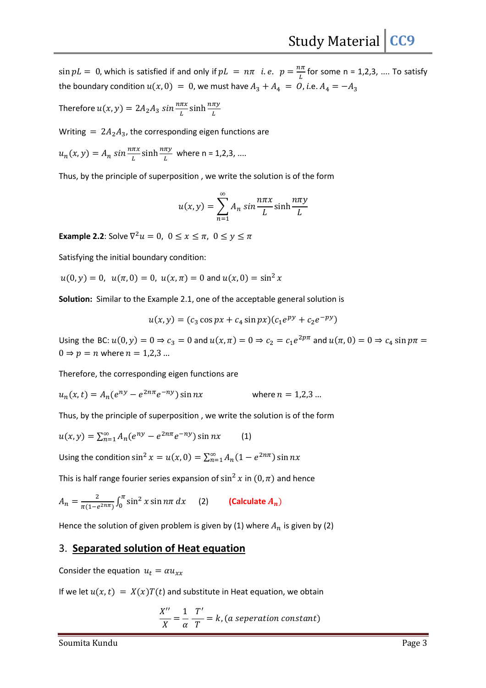$\sin pL = 0$ , which is satisfied if and only if  $pL = n\pi$  i.e.  $p = \frac{n\pi}{L}$  for some n = 1,2,3, .... To satisfy the boundary condition  $u(x, 0) = 0$ , we must have  $A_3 + A_4 = 0$ , *i.e.*  $A_4 = -A_3$ 

Therefore  $u(x, y) = 2A_2 A_3 \sin \frac{n\pi x}{L} \sinh \frac{n\pi y}{L}$ 

Writing =  $2A_2A_3$ , the corresponding eigen functions are

$$
u_n(x, y) = A_n \sin \frac{n\pi x}{L} \sinh \frac{n\pi y}{L} \text{ where } n = 1, 2, 3, \dots
$$

Thus, by the principle of superposition , we write the solution is of the form

$$
u(x, y) = \sum_{n=1}^{\infty} A_n \sin \frac{n\pi x}{L} \sinh \frac{n\pi y}{L}
$$

**Example 2.2**: Solve  $\nabla^2 u = 0$ ,  $0 \le x \le \pi$ ,  $0 \le y \le \pi$ 

Satisfying the initial boundary condition:

 $u(0, y) = 0$ ,  $u(\pi, 0) = 0$ ,  $u(x, \pi) = 0$  and  $u(x, 0) = \sin^2 x$ 

Solution: Similar to the Example 2.1, one of the acceptable general solution is

$$
u(x, y) = (c_3 \cos px + c_4 \sin px)(c_1 e^{py} + c_2 e^{-py})
$$

Using the BC:  $u(0, y) = 0 \Rightarrow c_3 = 0$  and  $u(x, \pi) = 0 \Rightarrow c_2 = c_1 e^{2p\pi}$  and  $u(\pi, 0) = 0 \Rightarrow c_4 \sin p\pi =$  $0 \Rightarrow p = n$  where  $n = 1,2,3...$ 

Therefore, the corresponding eigen functions are

$$
u_n(x,t) = A_n(e^{ny} - e^{2n\pi}e^{-ny})\sin nx \quad \text{where } n = 1,2,3 \dots
$$

Thus, by the principle of superposition , we write the solution is of the form

$$
u(x,y) = \sum_{n=1}^{\infty} A_n(e^{ny} - e^{2n\pi}e^{-ny})\sin nx \qquad (1)
$$

Using the condition  $\sin^2 x = u(x, 0) = \sum_{n=1}^{\infty} A_n (1 - e^{2n\pi}) \sin nx$ 

This is half range fourier series expansion of  $\sin^2 x$  in  $(0, \pi)$  and hence

$$
A_n = \frac{2}{\pi (1 - e^{2n\pi})} \int_0^{\pi} \sin^2 x \sin n\pi \, dx \qquad (2) \qquad \textbf{(Calculate } A_n)
$$

Hence the solution of given problem is given by (1) where  $A_n$  is given by (2)

#### 3. Separated solution of Heat equation

Consider the equation  $u_t = \alpha u_{xx}$ 

If we let  $u(x, t) = X(x)T(t)$  and substitute in Heat equation, we obtain

$$
\frac{X''}{X} = \frac{1}{\alpha} \frac{T'}{T} = k, (a \text{ separation constant})
$$

Soumita Kundu Page 3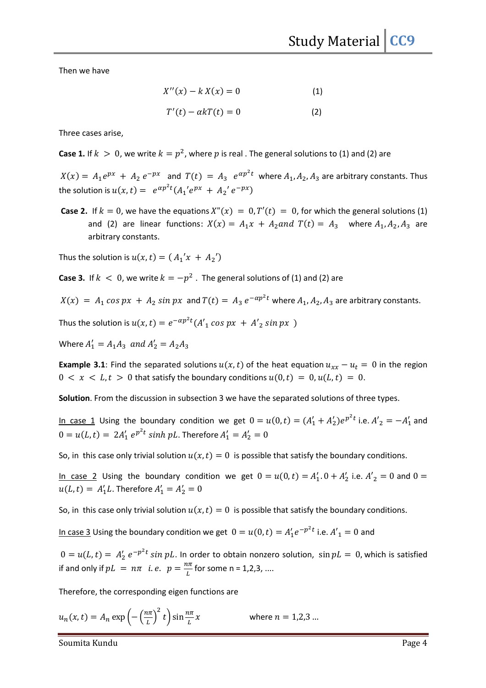Then we have

$$
X''(x) - k X(x) = 0 \tag{1}
$$

$$
T'(t) - \alpha k T(t) = 0 \tag{2}
$$

Three cases arise,

**Case 1.** If  $k > 0$ , we write  $k = p^2$ , where  $p$  is real . The general solutions to (1) and (2) are

 $X(x) = A_1 e^{px} + A_2 e^{-px}$  and  $T(t) = A_3 e^{ap^2t}$  where  $A_1, A_2, A_3$  are arbitrary constants. Thus the solution is  $u(x, t) = e^{\alpha p^2 t} (A_1' e^{px} + A_2' e^{-px})$ 

**Case 2.** If  $k = 0$ , we have the equations  $X''(x) = 0$ ,  $T'(t) = 0$ , for which the general solutions (1) and (2) are linear functions:  $X(x) = A_1x + A_2$  and  $T(t) = A_3$  where  $A_1, A_2, A_3$  are arbitrary constants.

Thus the solution is  $u(x, t) = ( A_1' x + A_2' )$ 

**Case 3.** If  $k < 0$ , we write  $k = -p^2$  . The general solutions of (1) and (2) are

$$
X(x) = A_1 \cos px + A_2 \sin px
$$
 and  $T(t) = A_3 e^{-\alpha p^2 t}$  where  $A_1, A_2, A_3$  are arbitrary constants.

Thus the solution is  $u(x, t) = e^{-\alpha p^2 t} (A'_1 \cos px + A'_2 \sin px)$ 

Where  $A'_1 = A_1 A_3$  and  $A'_2 = A_2 A_3$ 

**Example 3.1**: Find the separated solutions  $u(x, t)$  of the heat equation  $u_{xx} - u_t = 0$  in the region  $0 \lt x \lt L$ ,  $t > 0$  that satisfy the boundary conditions  $u(0, t) = 0$ ,  $u(L, t) = 0$ .

Solution. From the discussion in subsection 3 we have the separated solutions of three types.

In case 1 Using the boundary condition we get  $0 = u(0, t) = (A'_1 + A'_2)e^{p^2t}$  i.e.  $A'_2 = -A'_1$  and  $0 = u(L, t) = 2A'_1 e^{p^2 t} \sinh pL$ . Therefore  $A'_1 = A'_2 = 0$ 

So, in this case only trivial solution  $u(x, t) = 0$  is possible that satisfy the boundary conditions.

In case 2 Using the boundary condition we get  $0 = u(0, t) = A'_1, 0 + A'_2$  i.e.  $A'_2 = 0$  and  $0 =$  $u(L, t) = A'_1 L$ . Therefore  $A'_1 = A'_2 = 0$ 

So, in this case only trivial solution  $u(x, t) = 0$  is possible that satisfy the boundary conditions.

In case 3 Using the boundary condition we get  $0 = u(0, t) = A'_1 e^{-p^2 t}$  i.e.  $A'_1 = 0$  and

 $0 = u(L, t) = A'_2 e^{-p^2 t} \sin pL$ . In order to obtain nonzero solution,  $\sin pL = 0$ , which is satisfied if and only if  $pL = n\pi$  i.e.  $p = \frac{n\pi}{L}$  for some n = 1,2,3, ....

Therefore, the corresponding eigen functions are

$$
u_n(x,t) = A_n \exp\left(-\left(\frac{n\pi}{L}\right)^2 t\right) \sin\frac{n\pi}{L} x \quad \text{where } n = 1,2,3 \dots
$$

Soumita Kundu Page 4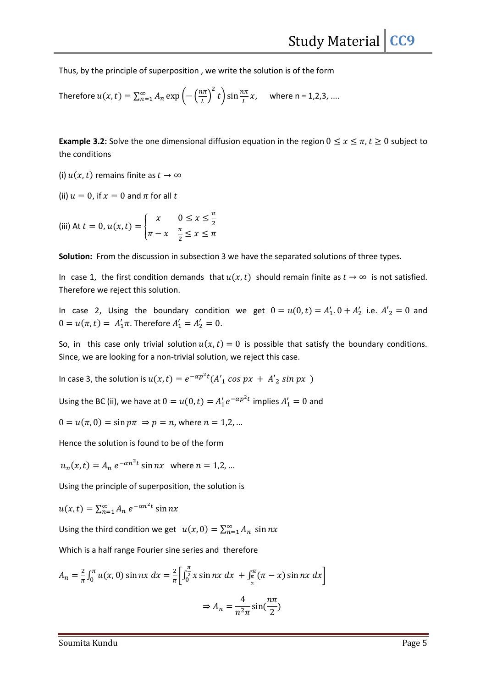Thus, by the principle of superposition , we write the solution is of the form

Therefore 
$$
u(x, t) = \sum_{n=1}^{\infty} A_n \exp\left(-\left(\frac{n\pi}{L}\right)^2 t\right) \sin\frac{n\pi}{L} x
$$
, where n = 1,2,3, ....

**Example 3.2:** Solve the one dimensional diffusion equation in the region  $0 \le x \le \pi$ ,  $t \ge 0$  subject to the conditions

(i)  $u(x, t)$  remains finite as  $t \to \infty$ 

(ii)  $u = 0$ , if  $x = 0$  and  $\pi$  for all  $t$ 

(iii) At 
$$
t = 0
$$
,  $u(x, t) = \begin{cases} x & 0 \le x \le \frac{\pi}{2} \\ \pi - x & \frac{\pi}{2} \le x \le \pi \end{cases}$ 

Solution: From the discussion in subsection 3 we have the separated solutions of three types.

In case 1, the first condition demands that  $u(x, t)$  should remain finite as  $t \to \infty$  is not satisfied. Therefore we reject this solution.

In case 2, Using the boundary condition we get  $0 = u(0, t) = A'_1 \cdot 0 + A'_2$  i.e.  $A'_2 = 0$  and  $0 = u(\pi, t) = A'_1 \pi$ . Therefore  $A'_1 = A'_2 = 0$ .

So, in this case only trivial solution  $u(x, t) = 0$  is possible that satisfy the boundary conditions. Since, we are looking for a non-trivial solution, we reject this case.

In case 3, the solution is  $u(x, t) = e^{-\alpha p^2 t} (A'_1 \cos px + A'_2 \sin px)$ 

Using the BC (ii), we have at  $0 = u(0, t) = A'_1 e^{-\alpha p^2 t}$  implies  $A'_1 = 0$  and

 $0 = u(\pi, 0) = \sin p\pi \Rightarrow p = n$ , where  $n = 1, 2, ...$ 

Hence the solution is found to be of the form

 $u_n(x,t) = A_n e^{-\alpha n^2 t} \sin nx$  where  $n = 1,2,...$ 

Using the principle of superposition, the solution is

 $u(x, t) = \sum_{n=1}^{\infty} A_n e^{-\alpha n^2 t} \sin nx$ 

Using the third condition we get  $u(x, 0) = \sum_{n=1}^{\infty} A_n \sin nx$ 

Which is a half range Fourier sine series and therefore

$$
A_n = \frac{2}{\pi} \int_0^{\pi} u(x, 0) \sin nx \, dx = \frac{2}{\pi} \left[ \int_0^{\frac{\pi}{2}} x \sin nx \, dx + \int_{\frac{\pi}{2}}^{\frac{\pi}{2}} (\pi - x) \sin nx \, dx \right]
$$
  

$$
\Rightarrow A_n = \frac{4}{n^2 \pi} \sin(\frac{n\pi}{2})
$$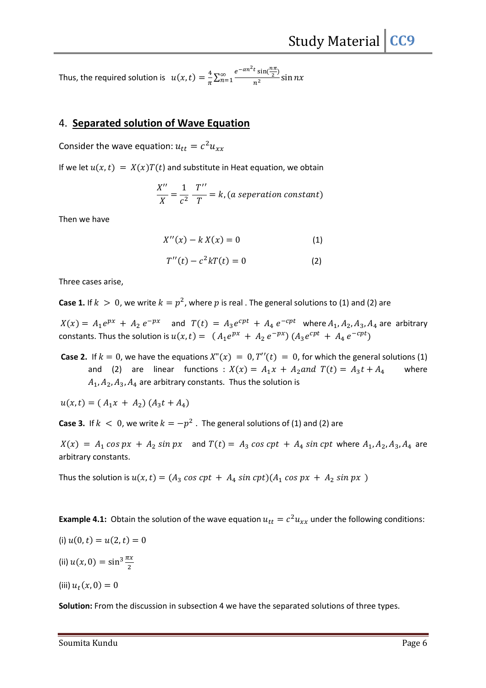Thus, the required solution is  $u(x, t) = \frac{4}{\pi}$  $\frac{4}{\pi} \sum_{n=1}^{\infty} \frac{e^{-\alpha n^2 t} \sin(\frac{n\pi}{2})}{n^2}$  $n<sup>2</sup>$  $\sum_{n=1}^{\infty} \frac{3x}{n^2} \sin nx$ 

#### 4. Separated solution of Wave Equation

Consider the wave equation:  $u_{tt} = c^2 u_{xx}$ 

If we let  $u(x, t) = X(x)T(t)$  and substitute in Heat equation, we obtain

$$
\frac{X''}{X} = \frac{1}{c^2} \frac{T''}{T} = k, (a \text{ separation constant})
$$

Then we have

$$
X''(x) - k X(x) = 0 \tag{1}
$$

$$
T''(t) - c^2 kT(t) = 0
$$
 (2)

Three cases arise,

**Case 1.** If  $k > 0$ , we write  $k = p^2$ , where  $p$  is real . The general solutions to (1) and (2) are

 $X(x) = A_1 e^{px} + A_2 e^{-px}$  and  $T(t) = A_3 e^{cpt} + A_4 e^{-cpt}$  where  $A_1, A_2, A_3, A_4$  are arbitrary constants. Thus the solution is  $u(x, t) = (A_1 e^{px} + A_2 e^{-px}) (A_3 e^{cpt} + A_4 e^{-cpt})$ 

**Case 2.** If  $k = 0$ , we have the equations  $X''(x) = 0$ ,  $T''(t) = 0$ , for which the general solutions (1) and (2) are linear functions :  $X(x) = A_1x + A_2$  and  $T(t) = A_3t + A_4$  where  $A_1, A_2, A_3, A_4$  are arbitrary constants. Thus the solution is

 $u(x, t) = (A_1x + A_2)(A_3t + A_4)$ 

**Case 3.** If  $k < 0$ , we write  $k = -p^2$  . The general solutions of (1) and (2) are

 $X(x) = A_1 \cos px + A_2 \sin px$  and  $T(t) = A_3 \cos cpt + A_4 \sin cpt$  where  $A_1, A_2, A_3, A_4$  are arbitrary constants.

Thus the solution is  $u(x, t) = (A_3 \cos cpt + A_4 \sin cpt)(A_1 \cos px + A_2 \sin px)$ 

**Example 4.1:** Obtain the solution of the wave equation  $u_{tt} = c^2 u_{xx}$  under the following conditions:

$$
(i) u(0,t) = u(2,t) = 0
$$

(ii)  $u(x, 0) = \sin^3 \frac{\pi x}{2}$ 

(iii)  $u_t(x, 0) = 0$ 

Solution: From the discussion in subsection 4 we have the separated solutions of three types.